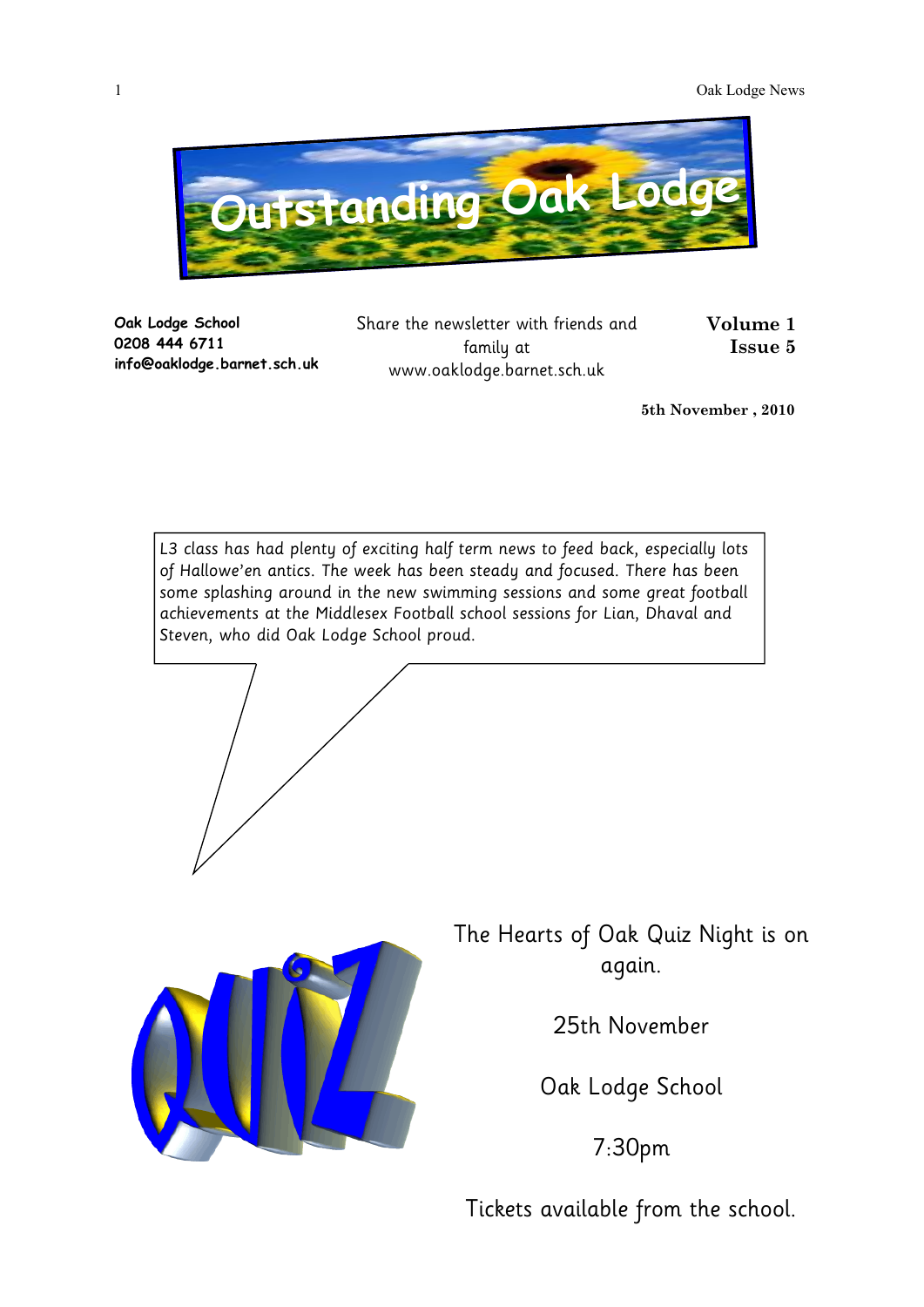

**Oak Lodge School 0208 444 6711 info@oaklodge.barnet.sch.uk** Share the newsletter with friends and family at www.oaklodge.barnet.sch.uk

**Volume 1 Issue 5** 

**5th November , 2010**

L3 class has had plenty of exciting half term news to feed back, especially lots of Hallowe'en antics. The week has been steady and focused. There has been some splashing around in the new swimming sessions and some great football achievements at the Middlesex Football school sessions for Lian, Dhaval and Steven, who did Oak Lodge School proud.





The Hearts of Oak Quiz Night is on again.

25th November

Oak Lodge School

7:30pm

Tickets available from the school.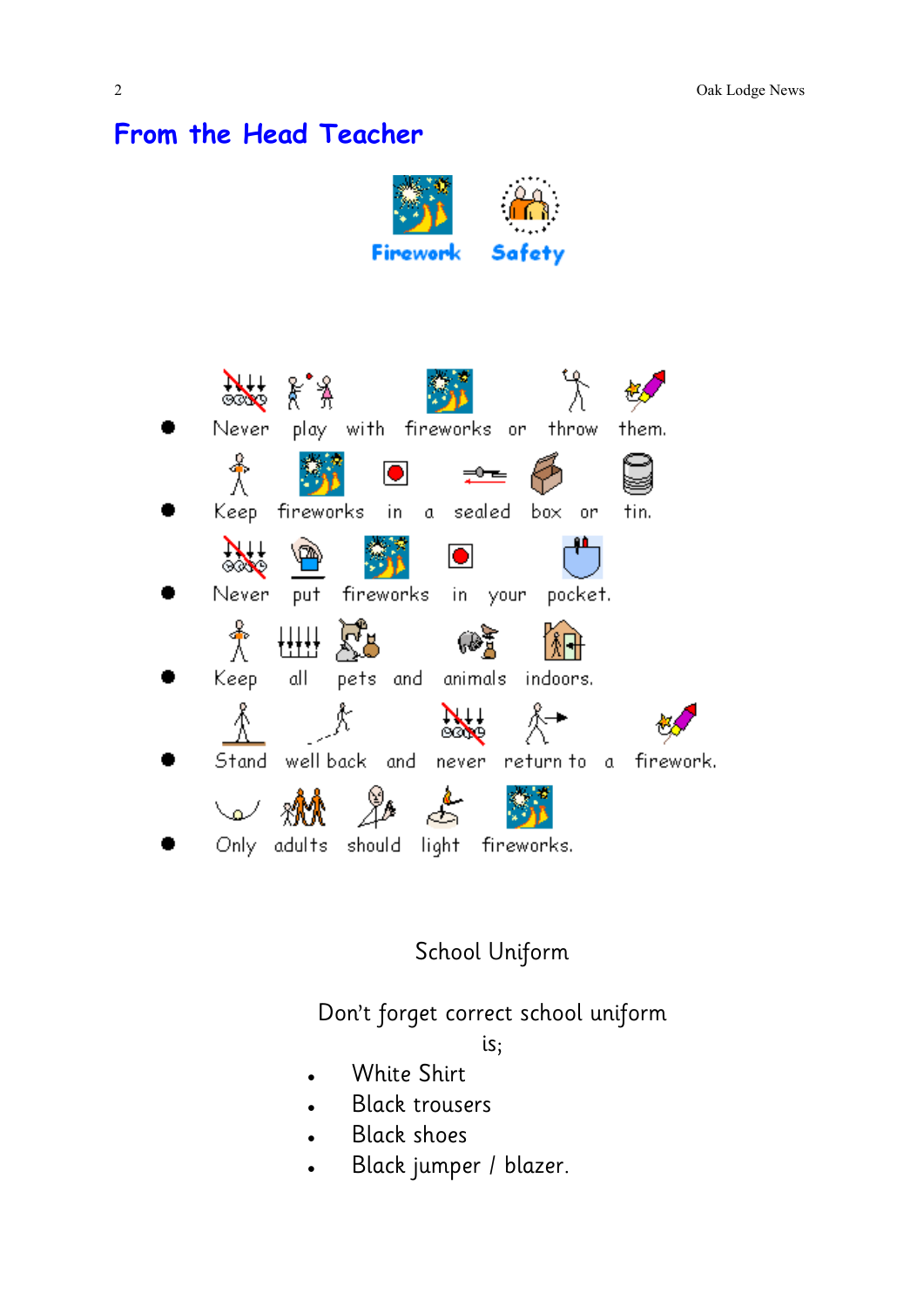## **From the Head Teacher**





## School Uniform

Don't forget correct school uniform

is;

- White Shirt
- Black trousers  $\bullet$
- Black shoes
- Black jumper / blazer.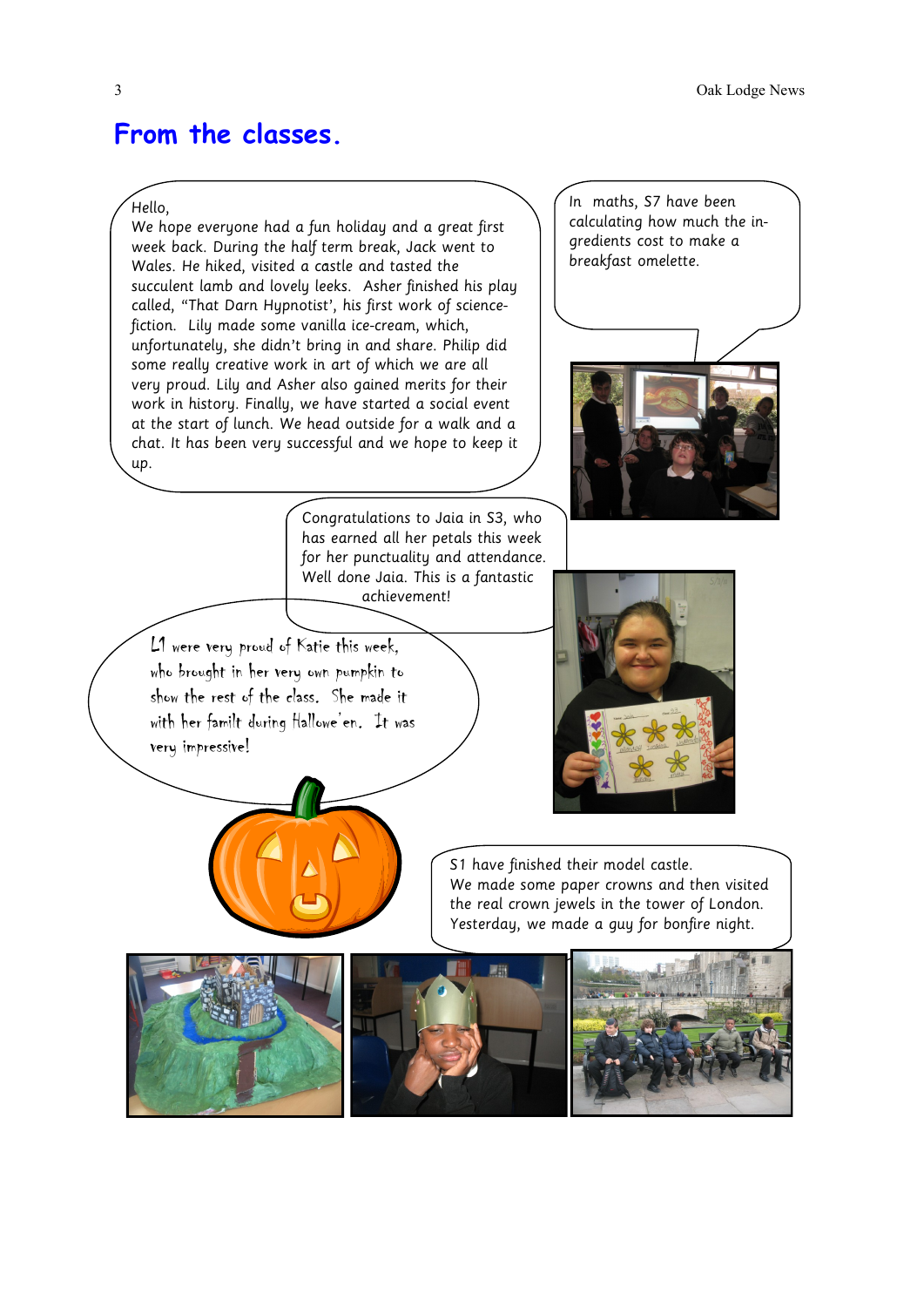## **From the classes.**

## Hello,

We hope everyone had a fun holiday and a great first week back. During the half term break, Jack went to Wales. He hiked, visited a castle and tasted the succulent lamb and lovely leeks. Asher finished his play called, "That Darn Hypnotist', his first work of sciencefiction. Lily made some vanilla ice-cream, which, unfortunately, she didn't bring in and share. Philip did some really creative work in art of which we are all very proud. Lily and Asher also gained merits for their work in history. Finally, we have started a social event at the start of lunch. We head outside for a walk and a chat. It has been very successful and we hope to keep it up.

In maths, S7 have been calculating how much the ingredients cost to make a breakfast omelette.



Congratulations to Jaia in S3, who has earned all her petals this week for her punctuality and attendance. Well done Jaia. This is a fantastic achievement!

L1 were very proud of Katie this week, who brought in her very own pumpkin to show the rest of the class. She made it with her familt during Hallowe'en. It was very impressive!



S1 have finished their model castle. We made some paper crowns and then visited the real crown jewels in the tower of London. Yesterday, we made a guy for bonfire night.